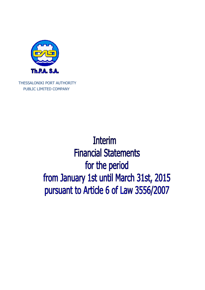

THESSALONIKI PORT AUTHORITY PUBLIC LIMITED COMPANY

> **Interim Financial Statements** for the period from January 1st until March 31st, 2015 pursuant to Article 6 of Law 3556/2007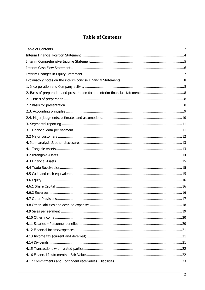# **Table of Contents**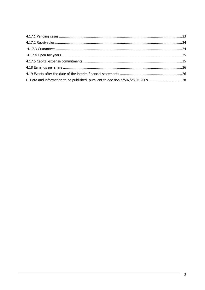| F. Data and information to be published, pursuant to decision 4/507/28.04.2009 28 |  |
|-----------------------------------------------------------------------------------|--|
|                                                                                   |  |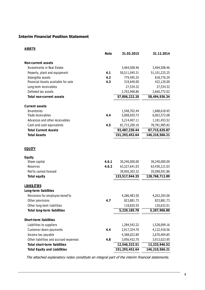# **Interim Financial Position Statement**

| -----                                  | <b>Note</b> | 31.03.2015     | 31.12.2014     |
|----------------------------------------|-------------|----------------|----------------|
| <b>Non-current assets</b>              |             |                |                |
| Investments in Real Estate             |             | 3,464,508.46   | 3,464,508.46   |
| Property, plant and equipment          | 4.1         | 50,511,045.31  | 51,101,225.25  |
| Intangible assets                      | 4.2         | 779,495.25     | 818,776.29     |
| Financial Assets available for sale    | 4.3         | 319,640.00     | 422,120.00     |
| Long-term receivables                  |             | 27,534.32      | 27,534.32      |
| Deferred tax assets                    |             | 2,703,998.86   | 2,660,772.02   |
| <b>Total non-current assets</b>        |             | 57,806,222.20  | 58,494,936.34  |
| <b>Current assets</b>                  |             |                |                |
| Inventories                            |             | 1,548,702.44   | 1,688,618.45   |
| Trade receivables                      | 4.4         | 5,008,920.73   | 6,063,572.08   |
| Advances and other receivables         |             | 5,214,407.11   | 1,181,453.52   |
| Cash and cash equivalents              | 4.5         | 81,715,200.16  | 78,781,985.82  |
| <b>Total Current Assets</b>            |             | 93,487,230.44  | 87,715,629.87  |
| <b>Total Assets</b>                    |             | 151,293,452.64 | 146,210,566.21 |
| <b>EQUITY</b>                          |             |                |                |
| <b>Equity</b>                          |             |                |                |
| Share capital                          | 4.6.1       | 30,240,000.00  | 30,240,000.00  |
| Reserves                               | 4.6.2       | 63,327,641.03  | 63,430,121.03  |
| Prof ts carried forward                |             | 39,950,303.32  | 35,098,591.86  |
| <b>Total equity</b>                    |             | 133,517,944.35 | 128,768,712.89 |
| <b>LIABILITIES</b>                     |             |                |                |
| <b>Long-term liabilities</b>           |             |                |                |
| Provisions for employee benef ts       |             | 4,286,483.50   | 4,263,393.06   |
| Other provisions                       | 4.7         | 823,881.73     | 823,881.73     |
| Other long-term liabilities            |             | 118,820.55     | 120,632.01     |
| <b>Total long-term liabilities</b>     |             | 5,229,185.78   | 5,207,906.80   |
| <b>Short-term liabilities</b>          |             |                |                |
| Liabilities to suppliers               |             | 1,284,542.22   | 1,528,099.16   |
| Customer down payments                 | 4.4         | 2,917,324.70   | 4,122,418.56   |
| Income tax payable                     |             | 4,388,022.89   | 2,670,404.85   |
| Other liabilities and accrued expenses | 4.8         | 3,956,432.70   | 3,913,023.95   |
| <b>Total short-term liabilities</b>    |             | 12,546,322.51  | 12,233,946.52  |
| <b>Total Equity and Liabilities</b>    |             | 151,293,452.64 | 146,210,566.21 |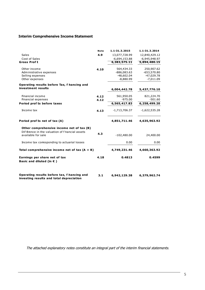# **Interim Comprehensive Income Statement**

|                                                                                               | <b>Note</b> | 1.1-31.3.2015   | 1.1-31.3.2014   |
|-----------------------------------------------------------------------------------------------|-------------|-----------------|-----------------|
| <b>Sales</b>                                                                                  | 4.9         | 13,077,728.99   | 12,840,429.12   |
| <b>Cost of Sales</b>                                                                          |             | $-6,694,153.88$ | $-6,945,948.97$ |
| <b>Gross Proft</b>                                                                            |             | 6,383,575.11    | 5,894,480.15    |
| Other income                                                                                  | 4.10        | 564,434.33      | 250,907.62      |
| Administrative expenses                                                                       |             | $-886,083.63$   | $-653,570.80$   |
| Selling expenses                                                                              |             | $-48,602.04$    | $-47,029.78$    |
| Other expenses                                                                                |             | $-8,880.99$     | $-7,011.09$     |
| Operating results before Tax, f hancing and                                                   |             |                 |                 |
| investment results                                                                            |             | 6,004,442.78    | 5,437,776.10    |
| <b>Financial income</b>                                                                       | 4.12        | 561,950.05      | 821,224.70      |
| Financial expenses                                                                            | 4.12        | $-975.00$       | $-501.60$       |
| Period prof ts before taxes                                                                   |             | 6,565,417.83    | 6,258,499.20    |
| Income tax                                                                                    | 4.13        | $-1,713,706.37$ | $-1,622,535.28$ |
| Period prof ts net of tax (A)                                                                 |             | 4,851,711.46    | 4,635,963.92    |
| Other comprehensive income net of tax (B)<br>Dif ference in the valuation of f hancial assets |             |                 |                 |
| available for sale                                                                            | 4.3         | $-102,480.00$   | 24,400.00       |
| Income tax corresponding to actuarial losses                                                  |             | 0.00            | 0.00            |
| Total comprehensive income net of tax $(A + B)$                                               |             | 4,749,231.46    | 4,660,363.92    |
| Earnings per share net of tax<br>Basic and diluted (in $\epsilon$ )                           | 4.18        | 0.4813          | 0.4599          |
| Operating results before tax, f hancing and<br>investing results and total depreciation       | 3.1         | 6,942,129.38    | 6,379,962.74    |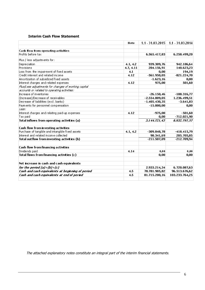# **Interim Cash Flow Statement**

|                                                      | Note      |                 | 1.1 - 31.03.2015 1.1 - 31.03.2014 |
|------------------------------------------------------|-----------|-----------------|-----------------------------------|
| Cash flow from operating activities                  |           |                 |                                   |
| Profits before tax                                   |           | 6.565.417,83    | 6.258.499,20                      |
| Plus / less adjustments for:                         |           |                 |                                   |
| Depreciation                                         | 4.1, 4.2  | 939.309.76      | 942.186,64                        |
| Provisions                                           | 4.7, 4.11 | 204.156.91      | 140.623,23                        |
| Loss from the impairment of fixed assets             | 4.1       | 0,00            | 194,19                            |
| Credit interest and related income                   | 4.12      | $-561.950,05$   | $-821.224,70$                     |
| Amortization of subsidized fixed assets              |           | $-1.623, 16$    | 0,00                              |
| Interest charges and related expenses                | 4.12      | 975,00          | 501,60                            |
| Plus/Less adjustments for changes of working capital |           |                 |                                   |
| accounts or related to operating activities:         |           |                 |                                   |
| Increase of inventories                              |           | $-26.150,46$    | $-108.316,77$                     |
| (Increase)/Decrease of receivables                   |           | $-2.554.009,05$ | 1.236.499,51                      |
| Decrease of liabilities (excl. banks)                |           | $-1.405.430.35$ | $-3.641,83$                       |
| Payments for personnel compensation                  |           | $-15.000,00$    | 0,00                              |
| Less:                                                |           |                 |                                   |
| Interest charges and relating paid-up expenses       | 4.12      | $-975,00$       | $-501,60$                         |
| Tax paid                                             |           | 0,00            | $-712.021,90$                     |
| Total inflows from operating activities (a)          |           | 3.144.721,43    | 6.932.797,57                      |
| Cash flow from investing activities                  |           |                 |                                   |
| Purchase of tangible and intangible fixed assets     | 4.1, 4.2  | $-309.848,78$   | $-418.415,79$                     |
| Interest and related income collected                |           | 98.341.69       | 205.705,85                        |
| Total outflow from investing activities (b)          |           | $-211.507,09$   | $-212.709,94$                     |
| Cash flow from financing activities                  |           |                 |                                   |
| Dividends paid                                       | 4.14      | 0.00            | 0.00                              |
| Total flows from financing activities (c)            |           | 0,00            | 0,00                              |
| Net increase in cash and cash equivalents            |           |                 |                                   |
| for the period $(a)+(b)+(c)$                         |           | 2.933.214,34    | 6.720.087,63                      |
| Cash and cash equivalents at beginning of period     | 4.5       | 78.781.985,82   | 96.513.676,62                     |
| Cash and cash equivalents at end of period           | 4.5       | 81.715.200,16   | 103.233.764,25                    |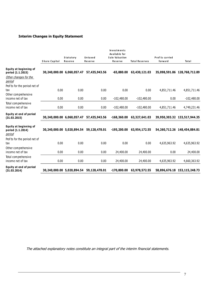# **Interim Changes in Equity Statement**

|                                                       | Share Capital              | Statutory<br>Reserve | Untaxed<br>Reserve | <b>Investments</b><br>Available for<br>Sale Valuation<br>Reserve | <b>Total Reserves</b> | Prof ts carried<br>forward | Total                        |
|-------------------------------------------------------|----------------------------|----------------------|--------------------|------------------------------------------------------------------|-----------------------|----------------------------|------------------------------|
| <b>Equity at beginning of</b><br>period (1.1.2015)    | 30,240,000.00 6,060,057.47 |                      | 57,435,943.56      | $-65,880.00$                                                     | 63,430,121.03         |                            | 35,098,591.86 128,768,712.89 |
| Other changes for the<br><u>period</u>                |                            |                      |                    |                                                                  |                       |                            |                              |
| Prof ts for the period net of                         |                            |                      |                    |                                                                  |                       |                            |                              |
| tax                                                   | 0.00                       | 0.00                 | 0.00               | 0.00                                                             | 0.00                  | 4,851,711.46               | 4,851,711.46                 |
| Other comprehensive<br>income net of tax              | 0.00                       | 0.00                 | 0.00               | $-102,480.00$                                                    | $-102,480.00$         | 0.00                       | $-102,480.00$                |
| Total comprehensive                                   |                            |                      |                    |                                                                  |                       |                            |                              |
| income net of tax                                     | 0.00                       | 0.00                 | 0.00               | $-102,480.00$                                                    | $-102,480.00$         | 4,851,711.46               | 4,749,231.46                 |
| Equity at end of period<br>(31.03.2015)               | 30,240,000.00 6,060,057.47 |                      | 57,435,943.56      | $-168,360.00$                                                    | 63,327,641.03         |                            | 39,950,303.32 133,517,944.35 |
| Equity at beginning of<br>period (1.1.2014)<br>period | 30,240,000.00 5,020,894.54 |                      | 59,128,478.01      | $-195,200.00$                                                    | 63,954,172.55         |                            | 54,260,712.26 148,454,884.81 |
| Prof ts for the period net of<br>tax                  | 0.00                       | 0.00                 | 0.00               | 0.00                                                             | 0.00                  | 4,635,963.92               | 4,635,963.92                 |
| Other comprehensive<br>income net of tax              | 0.00                       | 0.00                 | 0.00               | 24,400.00                                                        | 24,400.00             | 0.00                       | 24,400.00                    |
| Total comprehensive<br>income net of tax              | 0.00                       | 0.00                 | 0.00               | 24,400.00                                                        | 24,400.00             | 4,635,963.92               | 4,660,363.92                 |
| Equity at end of period<br>(31.03.2014)               | 30,240,000.00 5,020,894.54 |                      | 59,128,478.01      | $-170,800.00$                                                    | 63,978,572.55         |                            | 58,896,676.18 153,115,248.73 |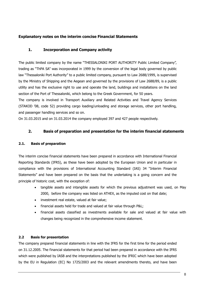# **Explanatory notes on the interim concise Financial Statements**

# **1. Incorporation and Company activity**

The public limited company by the name "THESSALONIKI PORT AUTHORITY Public Limited Company", trading as "ThPA SA" was incorporated in 1999 by the conversion of the legal body governed by public law "Thessaloniki Port Authority" to a public limited company, pursuant to Law 2688/1999, is supervised by the Ministry of Shipping and the Aegean and governed by the provisions of Law 2688/89, is a public utility and has the exclusive right to use and operate the land, buildings and installations on the land section of the Port of Thessaloniki, which belong to the Greek Government, for 50 years.

The company is involved in Transport Auxiliary and Related Activities and Travel Agency Services (STAKOD '08, code 52) providing cargo loading/unloading and storage services, other port handling, and passenger handling services and so on.

On 31.03.2015 and on 31.03.2014 the company employed 397 and 427 people respectively.

# **2. Basis of preparation and presentation for the interim financial statements**

# **2.1. Basis of preparation**

The interim concise financial statements have been prepared in accordance with International Financial Reporting Standards (IFRS), as these have been adopted by the European Union and in particular in compliance with the provisions of International Accounting Standard (IAS) 34 "Interim Financial Statements" and have been prepared on the basis that the undertaking is a going concern and the principle of historic cost, with the exception of:

- tangible assets and intangible assets for which the previous adjustment was used, on May 2000, before the company was listed on ATHEX, as the imputed cost on that date;
- investment real estate, valued at fair value;
- financial assets held for trade and valued at fair value through P&L;
- financial assets classified as investments available for sale and valued at fair value with changes being recognized in the comprehensive income statement.

# **2.2 Basis for presentation**

The company prepared financial statements in line with the IFRS for the first time for the period ended on 31.12.2005. The financial statements for that period had been prepared in accordance with the IFRS which were published by IASB and the interpretations published by the IFRIC which have been adopted by the EU in Regulation (EC) No 1725/2003 and the relevant amendments thereto, and have been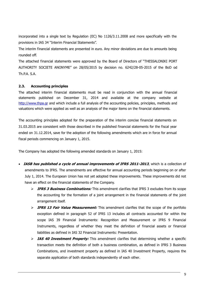incorporated into a single text by Regulation (EC) No 1126/3.11.2008 and more specifically with the provisions in IAS 34 "Interim Financial Statements".

The interim financial statements are presented in euro. Any minor deviations are due to amounts being rounded off.

The attached financial statements were approved by the Board of Directors of "THESSALONIKI PORT AUTHORITY SOCIETE ANONYME" on 28/05/2015 by decision no. 6242/28-05-2015 of the BoD od Th.P.A. S.A.

# **2.3. Accounting principles**

The attached interim financial statements must be read in conjunction with the annual financial statements published on December 31, 2014 and available at the company website at http://www.thpa.gr and which include a full analysis of the accounting policies, principles, methods and valuations which were applied as well as an analysis of the major items on the financial statements.

The accounting principles adopted for the preparation of the interim concise financial statements on 31.03.2015 are consistent with those described in the published financial statements for the fiscal year ended on 31.12.2014, save for the adoption of the following amendments which are in force for annual fiscal periods commencing on January 1, 2015.

The Company has adopted the following amended standards on January 1, 2015:

- **IASB has published a cycle of annual improvements of IFRS 2011-2013**, which is a collection of amendments to IFRS. The amendments are effective for annual accounting periods beginning on or after July 1, 2014. The European Union has not yet adopted these improvements. These improvements did not have an effect on the financial statements of the Company.
	- **IFRS 3 Business Combinations:** This amendment clarifies that IFRS 3 excludes from its scope the accounting for the formation of a joint arrangement in the financial statements of the joint arrangement itself.
	- **IFRS 13 Fair Value Measurement:** This amendment clarifies that the scope of the portfolio exception defined in paragraph 52 of IFRS 13 includes all contracts accounted for within the scope IAS 39 Financial Instruments: Recognition and Measurement or IFRS 9 Financial Instruments, regardless of whether they meet the definition of financial assets or financial liabilities as defined in IAS 32 Financial Instruments: Presentation.
	- **IAS 40 Investment Property:** This amendment clarifies that determining whether a specific transaction meets the definition of both a business combination, as defined in IFRS 3 Business Combinations, and investment property as defined in IAS 40 Investment Property, requires the separate application of both standards independently of each other.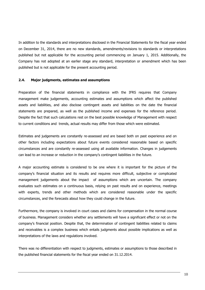In addition to the standards and interpretations disclosed in the Financial Statements for the fiscal year ended on December 31, 2014, there are no new standards, amendments/revisions to standards or interpretations published but not applicable for the accounting period commencing on January 1, 2015. Additionally, the Company has not adopted at an earlier stage any standard, interpretation or amendment which has been published but is not applicable for the present accounting period.

#### **2.4. Major judgments, estimates and assumptions**

Preparation of the financial statements in compliance with the IFRS requires that Company management make judgements, accounting estimates and assumptions which affect the published assets and liabilities, and also disclose contingent assets and liabilities on the date the financial statements are prepared, as well as the published income and expenses for the reference period. Despite the fact that such calculations rest on the best possible knowledge of Management with respect to current conditions and trends, actual results may differ from those which were estimated.

Estimates and judgements are constantly re-assessed and are based both on past experience and on other factors including expectations about future events considered reasonable based on specific circumstances and are constantly re-assessed using all available information. Changes in judgements can lead to an increase or reduction in the company's contingent liabilities in the future.

A major accounting estimate is considered to be one where it is important for the picture of the company's financial situation and its results and requires more difficult, subjective or complicated management judgements about the impact of assumptions which are uncertain. The company evaluates such estimates on a continuous basis, relying on past results and on experience, meetings with experts, trends and other methods which are considered reasonable under the specific circumstances, and the forecasts about how they could change in the future.

Furthermore, the company is involved in court cases and claims for compensation in the normal course of business. Management considers whether any settlements will have a significant effect or not on the company's financial position. Despite that, the determination of contingent liabilities related to claims and receivables is a complex business which entails judgments about possible implications as well as interpretations of the laws and regulations involved.

There was no differentiation with respect to judgments, estimates or assumptions to those described in the published financial statements for the fiscal year ended on 31.12.2014.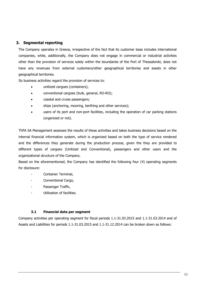# **3. Segmental reporting**

The Company operates in Greece, irrespective of the fact that its customer base includes international companies, while, additionally, the Company does not engage in commercial or industrial activities other than the provision of services solely within the boundaries of the Port of Thessaloniki, does not have any revenues from external customers/other geographical territories and assets in other geographical territories.

Its business activities regard the provision of services to:

- unitized cargoes (containers);
- conventional cargoes (bulk, general, RO-RO);
- coastal and cruise passengers;
- ships (anchoring, mooring, berthing and other services);
- users of its port and non-port facilities, including the operation of car parking stations (organized or not).

ThPA SA Management assesses the results of these activities and takes business decisions based on the internal financial information system, which is organized based on both the type of service rendered and the differences they generate during the production process, given the they are provided to different types of cargoes (Unitized and Conventional), passengers and other users and the organizational structure of the Company.

Based on the aforementioned, the Company has identified the following four (4) operating segments for disclosure:

- Container Terminal,
- Conventional Cargo,
- Passenger Traffic,
- Utilization of facilities.

### **3.1 Financial data per segment**

Company activities per operating segment for fiscal periods 1.1-31.03.2015 and 1.1-31.03.2014 and of Assets and Liabilities for periods 1.1-31.03.2015 and 1.1-31.12.2014 can be broken down as follows: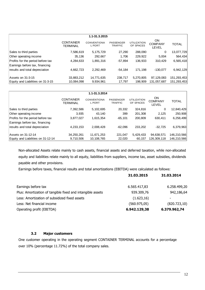| 1.1-31.3.2015                     |                                     |                                    |                                    |                                 |                               |              |  |
|-----------------------------------|-------------------------------------|------------------------------------|------------------------------------|---------------------------------|-------------------------------|--------------|--|
|                                   | <b>CONTAINER</b><br><b>TERMINAL</b> | <b>CONVENTIONA</b><br><b>LPORT</b> | <b>PASSENGER</b><br><b>TRAFFIC</b> | <b>UTILIZATION</b><br>OF SPACES | ON<br><b>COMPANY</b><br>LEVEL | <b>TOTAL</b> |  |
| Sales to third parties            | 7,586,619                           | 5, 175, 729                        | 27,290                             | 288,090                         | 0                             | 13,077,729   |  |
| Other operating income            | 35,136                              | 292,667                            | 1,706                              | 229,922                         | 5,004                         | 564,434      |  |
| Profits for the period before tax | 4,284,633                           | 1,891,316                          | $-57,894$                          | 136,933                         | 310,429                       | 6,565,418    |  |
| Earnings before tax, financing    |                                     |                                    |                                    |                                 |                               |              |  |
| results and total depreciation    | 4,662,723                           | 2,292,469                          | $-54,184$                          | 171,198                         | $-130.077$                    | 6,942,129    |  |
| Assets on 31-3-15                 | 33,883,212                          | 14,771,635                         | 238,717                            | 5,270,805                       | 97,129,083                    | 151,293,453  |  |
| Equity and Liabilities on 31-3-15 | 10,084,098                          | 9,934,961                          | 17,797                             | 198,909                         | 131,057,687                   | 151,293,453  |  |

| 1.1-31.3.2014                                                       |                                     |                                    |                                    |                                 |                               |              |  |
|---------------------------------------------------------------------|-------------------------------------|------------------------------------|------------------------------------|---------------------------------|-------------------------------|--------------|--|
|                                                                     | <b>CONTAINER</b><br><b>TERMINAL</b> | <b>CONVENTIONA</b><br><b>LPORT</b> | <b>PASSENGER</b><br><b>TRAFFIC</b> | <b>UTILIZATION</b><br>OF SPACES | ON<br><b>COMPANY</b><br>LEVEL | <b>TOTAL</b> |  |
| Sales to third parties                                              | 7,392,586                           | 5,102,695                          | 20,332                             | 324,816                         | 0                             | 12,840,429   |  |
| Other operating income                                              | 3,935                               | 43,140                             | 399                                | 201,308                         | 2,125                         | 250,908      |  |
| Profits for the period before tax<br>Earnings before tax, financing | 3,877,027                           | 1,615,354                          | $-65, 101$                         | 200,809                         | 630,411                       | 6,258,499    |  |
| results and total depreciation                                      | 4,233,153                           | 2,008,428                          | $-62.096$                          | 233.202                         | $-32.725$                     | 6,379,963    |  |
| Assets on 31-12-14                                                  | 34,250,261                          | 11,671,253                         | 221,047                            | 5,429,433                       | 94,638,571                    | 146,210,566  |  |
| Equity and Liabilities on 31-12-14                                  | 9,710,506                           | 10,108,765                         | 22,020                             | 60,157                          | 126,309,118                   | 146,210,566  |  |

Non-allocated Assets relate mainly to cash assets, financial assets and deferred taxation, while non-allocated equity and liabilities relate mainly to all equity, liabilities from suppliers, income tax, asset subsidies, dividends payable and other provisions.

Earnings before taxes, financial results and total amortizations (EBITDA) were calculated as follows:

|                                                            | 31.03.2015    | 31.03.2014    |
|------------------------------------------------------------|---------------|---------------|
| Earnings before tax                                        | 6.565.417,83  | 6.258.499,20  |
| Plus: Amortization of tangible fixed and intangible assets | 939.309,76    | 942,186,64    |
| Less: Amortization of subsidized fixed assets              | (1.623, 16)   |               |
| Less: Net financial income                                 | (560.975, 05) | (820.723, 10) |
| Operating profit (EBITDA)                                  | 6.942.129,38  | 6.379.962,74  |

# **3.2 Major customers**

One customer operating in the operating segment CONTAINER TERMINAL accounts for a percentage over 10% (percentage 11.72%) of the total company sales.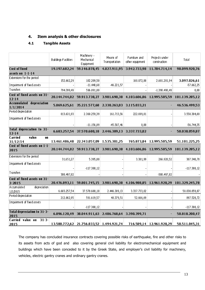# **4. Item analysis & other disclosures**

# **4.1 Tangible Assets**

|                                               | Buildings Facilities | Machinery -<br>Mechanical<br>Equipment               | Means of<br>Transportation | Furniture and<br>other equipment | Projects under<br>construction | Total                                                                              |
|-----------------------------------------------|----------------------|------------------------------------------------------|----------------------------|----------------------------------|--------------------------------|------------------------------------------------------------------------------------|
| <b>Cost of fixed</b>                          | 19.197.682,24        | 59.146.878,45                                        | 4.027.911,95               | 3.942.733,98                     | 11.784.714,14                  | 98.099.920,76                                                                      |
| assets on 1-1-14                              |                      |                                                      |                            |                                  |                                |                                                                                    |
| Extensions for the period                     | 152.662,29           | 182.209,50                                           |                            | 160.872,88                       | 2.601.281,94                   | 3.097.026,61                                                                       |
| Impairment of fixed assets                    |                      | $-11.440,68$                                         | -46.221,57                 |                                  |                                | $-57.662,25$                                                                       |
| Transfers                                     | 794.399,49           | 596.091,00                                           |                            |                                  | -1.390.490,49                  | 0,00                                                                               |
| Cost of fixed assets on 31-<br>$12 - 14$      |                      | 20.144.744,02 59.913.738,27                          |                            |                                  |                                | 3.981.690,38 4.103.606,86 12.995.505,59 101.139.285,12                             |
| <b>Accumulated depreciation</b><br>1/1/2014   | 5.869.625,61         | 35.221.577,68                                        |                            | 2.330.263,03 3.115.033,21        |                                | 46.536.499,53                                                                      |
| Period depredation                            | 813.631,93           | 2.360.259,39                                         | 161.713,56                 | 222.699,81                       |                                | 3.558.304,69                                                                       |
| Impairment of fixed assets                    |                      |                                                      |                            |                                  |                                |                                                                                    |
|                                               |                      | $-11.156,89$                                         | -45.587,46                 | 0,00                             |                                | -56.744,35                                                                         |
| <b>Total depreciation to 31-</b><br>$12 - 14$ |                      | 6.683.257,54 37.570.680,18 2.446.389,13 3.337.733,02 |                            |                                  |                                | 50.038.059,87                                                                      |
| Carried<br>value<br>ON.<br>31/12/14           |                      | 13.461.486,48 22.343.057,09 1.535.301,25             |                            |                                  | 765.873,84 12.995.505,59       | 51.101.225,25                                                                      |
| Cost of fixed assets on 1-1-<br>2015          |                      |                                                      |                            |                                  |                                | 20.144.744,02 59.913.738,27 3.981.690,38 4.103.606,86 12.995.505,59 101.139.285,12 |
| Extensions for the period                     | 31.651,27            | 5.395,00                                             |                            | 3.381,99                         | 266.920,52                     | 307.348,78                                                                         |
| Impairment of fixed assets                    |                      | $-117.388,12$                                        |                            |                                  |                                | $-117.388,12$                                                                      |
| Transfers                                     | 300.497,82           |                                                      |                            |                                  | -300.497,82                    |                                                                                    |
| Cost of fixed assets on 31-<br>$3 - 2015$     | 20.476.893,11        |                                                      |                            |                                  |                                | 59.801.745,15 3.981.690,38 4.106.988,85 12.961.928,29 101.329.245,78               |
| Acomulated<br>depreciation                    |                      |                                                      |                            |                                  |                                |                                                                                    |
| 1/1/2015                                      | 6.683.257,54         | 37.570.680,18                                        | 2.446.389,13               | 3.337.733,02                     |                                | 50.038.059,87                                                                      |
| Period depredation                            | 212.862,95           | 591.619,57                                           | 40.379,51                  | 52.666,69                        |                                | 897.528,72                                                                         |
| Impairment of fixed assets                    |                      | $-117.388,12$                                        |                            |                                  |                                | $-117.388,12$                                                                      |
| <b>Total depreciation to 31-3-</b><br>2015    | 6.896.120,49         | 38.044.911,63 2.486.768,64 3.390.399,71              |                            |                                  |                                | 50.818.200,47                                                                      |
| <b>Carried</b> value on<br>$31 - 3 -$<br>2015 |                      | 13.580.772,62 21.756.833,52 1.494.921,74             |                            |                                  | 716.589,14 12.961.928,29       | 50.511.045,31                                                                      |

The company has concluded insurance contracts covering possible risks of earthquake, fire and other risks to its assets from acts of god and also covering general civil liability for electromechanical equipment and buildings which have been conceded to it by the Greek State, and employer's civil liability for machinery, vehicles, electric gantry cranes and ordinary gantry cranes.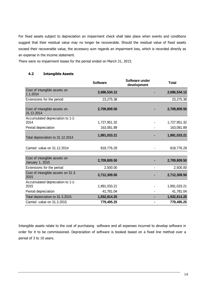For fixed assets subject to depreciation an impairment check shall take place when events and conditions suggest that their residual value may no longer be recoverable. Should the residual value of fixed assets exceed their recoverable value, the accessory sum regards an impairment loss, which is recorded directly as an expense in the income statement.

There were no impairment losses for the period ended on March 31, 2015.

# **4.2 Intangible Assets**

|                                                        | <b>Software</b> | Software under<br>development | <b>Total</b> |
|--------------------------------------------------------|-----------------|-------------------------------|--------------|
| Cost of intangible assets on<br>1.1.2014               | 2,686,534.12    |                               | 2,686,534.12 |
| Extensions for the period                              | 23,275.38       |                               | 23,275.38    |
| Cost of intangible assets on<br>31.12.2014             | 2,709,809.50    |                               | 2,709,809.50 |
| Accumulated depreciation to 1-1-<br>2014               | 1,727,951.32    |                               | 1,727,951.32 |
| Period depreciation                                    | 163,081.89      |                               | 163,081.89   |
| Total depreciation to 31.12.2014                       | 1,891,033.21    |                               | 1,891,033.21 |
| Carried value on 31.12.2014                            | 818,776.29      |                               | 818,776.29   |
| Cost of intangible assets on<br><b>January 1, 2015</b> | 2,709,809.50    |                               | 2,709,809.50 |
| Extensions for the period                              | 2,500.00        |                               | 2,500.00     |
| Cost of intangible assets on 31.3.<br>2015             | 2,712,309.50    |                               | 2,712,309.50 |
| Accumulated depreciation to 1-1-<br>2015               | 1,891,033.21    |                               | 1,891,033.21 |
| Period depreciation                                    | 41,781.04       |                               | 41,781.04    |
| Total depreciation to 31.3.2015                        | 1,932,814.25    |                               | 1,932,814.25 |
| Carried value on 31.3.2015                             | 779,495.25      |                               | 779,495.25   |

Intangible assets relate to the cost of purchasing software and all expenses incurred to develop software in order for it to be commissioned. Depreciation of software is booked based on a fixed line method over a period of 3 to 10 years.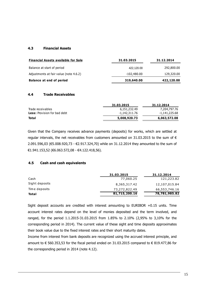### **4.3 Financial Assets**

| <b>Financial Assets available for Sale</b> | 31.03.2015  | 31.12.2014 |
|--------------------------------------------|-------------|------------|
| Balance at start of period                 | 422.120.00  | 292,800.00 |
| Adjustments at fair value (note 4.6.2)     | -102,480.00 | 129,320.00 |
| <b>Balance at end of period</b>            | 319,640.00  | 422,120.00 |

### **4.4 Trade Receivables**

| 31.03.2015    | 31.12.2014    |
|---------------|---------------|
| 6,151,232.49  | 7,204,797.76  |
| -1,142,311.76 | -1,141,225.68 |
| 5,008,920.73  | 6,063,572.08  |
|               |               |

Given that the Company receives advance payments (deposits) for works, which are settled at regular intervals, the net receivables from customers amounted on 31.03.2015 to the sum of  $\epsilon$ 2.091.596,03 (€5.008.920,73 - €2.917.324,70) while on 31.12.2014 they amounted to the sum of €1.941.153,52 (€6.063.572,08 - €4.122.418,56).

# **4.5 Cash and cash equivalents**

|                | 31.03.2015    | 31.12.2014    |
|----------------|---------------|---------------|
| Cash           | 77,060.25     | 121,223.82    |
| Sight deposits | 8,365,317.42  | 12,107,015.84 |
| Time deposits  | 73,272,822.49 | 66,553,746.16 |
| <b>Total</b>   | 81,715,200.16 | 78,781,985.82 |

Sight deposit accounts are credited with interest amounting to EURIBOR +0.15 units. Time account interest rates depend on the level of monies deposited and the term involved, and ranged, for the period 1.1.2015-31.03.2015 from 1.85% to 2.10% (2,95% to 3,10% for the corresponding period in 2014). The current value of these sight and time deposits approximates their book value due to the fixed interest rates and their short maturity dates.

Income from interest from bank deposits are recognized using the accrued interest principle, and amount to € 560.353,53 for the fiscal period ended on 31.03.2015 compared to € 819.477,86 for the corresponding period in 2014 (note 4.12).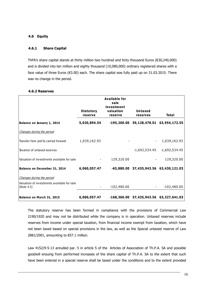### **4.6 Equity**

#### **4.6.1 Share Capital**

ThPA's share capital stands at thirty million two hundred and forty thousand Euros (€30,240,000) and is divided into ten million and eighty thousand (10,080,000) ordinary registered shares with a face value of three Euros (€3.00) each. The share capital was fully paid up on 31.03.2015. There was no change in the period.

|                                                           | <b>Statutory</b><br>reserve | <b>Available for</b><br>sale<br>investment<br>valuation<br>reserve | Untaxed<br>reserves                       | <b>Total</b>    |
|-----------------------------------------------------------|-----------------------------|--------------------------------------------------------------------|-------------------------------------------|-----------------|
| Balance on January 1, 2014                                | 5,020,894.54                |                                                                    | -195,200.00 59,128,478.01 63,954,172.55   |                 |
| Changes during the period                                 |                             |                                                                    |                                           |                 |
| Transfer from prof ts carried forward                     | 1,039,162.93                |                                                                    |                                           | 1,039,162.93    |
| Taxation of untaxed reserves                              |                             |                                                                    | $-1,692,534.45$                           | $-1,692,534.45$ |
| Valuation of investments available for sale               |                             | 129,320.00                                                         |                                           | 129,320.00      |
| Balance on December 31, 2014                              | 6,060,057.47                |                                                                    | -65,880.00 57,435,943.56 63,430,121.03    |                 |
| Changes during the period                                 |                             |                                                                    |                                           |                 |
| Valuation of investments available for sale<br>(Note 4.3) |                             | $-102,480.00$                                                      |                                           | $-102,480.00$   |
| Balance on March 31, 2015                                 | 6,060,057.47                |                                                                    | $-168,360.00$ 57,435,943.56 63,327,641.03 |                 |

#### **4.6.2 Reserves**

The statutory reserve has been formed in compliance with the provisions of Commercial Law 2190/1920 and may not be distributed while the company is in operation. Untaxed reserves include reserves from income under special taxation, from financial income exempt from taxation, which have not been taxed based on special provisions in the law, as well as the Special untaxed reserve of Law 2881/2001, amounting to  $\epsilon$ 57.1 million.

Law 4152/9-5-13 annulled par. 5 in article 5 of the Articles of Association of Th.P.A. SA and possible goodwill ensuing from performed increases of the share capital of Th.P.A. SA to the extent that such have been entered in a special reserve shall be taxed under the conditions and to the extent provided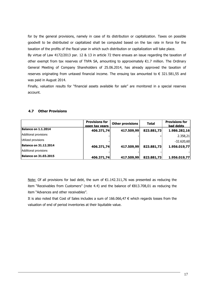for by the general provisions, namely in case of its distribution or capitalization. Taxes on possible goodwill to be distributed or capitalized shall be computed based on the tax rate in force for the taxation of the profits of the fiscal year in which such distribution or capitalization will take place.

By virtue of Law 4172/2013 par. 12 & 13 in article 72 there ensues an issue regarding the taxation of other exempt from tax reserves of ThPA SA, amounting to approximately €1.7 million. The Ordinary General Meeting of Company Shareholders of 25.06.2014, has already approved the taxation of reserves originating from untaxed financial income. The ensuing tax amounted to  $\epsilon$  321.581.55 and was paid in August 2014.

Finally, valuation results for "financial assets available for sale" are monitored in a special reserves account.

# **4.7 Other Provisions**

|                              | <b>Provisions for</b><br>open tax vears | <b>Other provisions</b> | <b>Total</b> | <b>Provisions for</b><br>bad debts |
|------------------------------|-----------------------------------------|-------------------------|--------------|------------------------------------|
| Balance on 1.1.2014          | 406.371,74                              | 417.509,99              | 823.881,73   | 1.986.282,16                       |
| Additional provisions        |                                         |                         |              | 2.358,21                           |
| Utilized provisions          |                                         |                         |              | $-32.620,60$                       |
| <b>Balance on 31.12.2014</b> | 406.371,74                              | 417.509,99              | 823.881,73   | 1.956.019,77                       |
| Additional provisions        |                                         |                         |              |                                    |
| <b>Balance on 31.03.2015</b> | 406.371,74                              | 417.509,99              | 823.881,73   | 1.956.019,77                       |

Note: Of all provisions for bad debt, the sum of  $\epsilon$ 1.142.311,76 was presented as reducing the item "Receivables from Customers" (note 4.4) and the balance of €813.708,01 as reducing the item "Advances and other receivables".

It is also noted that Cost of Sales includes a sum of 166.066,47 € which regards losses from the valuation of end of period inventories at their liquitable value.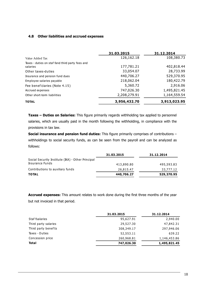# **4.8 Other liabilities and accrued expenses**

|                                                              | 31.03.2015   | 31.12.2014   |
|--------------------------------------------------------------|--------------|--------------|
| Value Added Tax                                              | 126,162.18   | 108,380.73   |
| Taxes - duties on staf fand third party fees and<br>salaries | 177,781.21   | 402,818.44   |
| Other taxes-duties                                           | 33,054.07    | 28,733.99    |
| Insurance and pension fund dues                              | 440,706.27   | 529,370.95   |
| Employee salaries payable                                    | 218,062.04   | 180,422.79   |
| Fee benef ciaries (Note 4.15)                                | 5,360.72     | 2,916.06     |
| Accrued expenses                                             | 747,026.30   | 1,495,821.45 |
| Other short-term liabilities                                 | 2,208,279.91 | 1,164,559.54 |
| <b>TOTAL</b>                                                 | 3,956,432.70 | 3,913,023.95 |

**Taxes – Duties on Salaries:** This figure primarily regards withholding tax applied to personnel salaries, which are usually paid in the month following the withholding, in compliance with the provisions in tax law.

**Social insurance and pension fund duties:** This figure primarily comprises of contributions – withholdings to social security funds, as can be seen from the payroll and can be analyzed as follows:

|                                                   | 31.03.2015 | 31.12.2014 |
|---------------------------------------------------|------------|------------|
| Social Security Institute (IKA) - Other Principal |            |            |
| Insurance Funds                                   | 413,890.80 | 495,593.83 |
| Contributions to auxiliary funds                  | 26,815.47  | 33,777.12  |
| <b>TOTAL</b>                                      | 440,706.27 | 529,370.95 |

**Accrued expenses:** This amount relates to work done during the first three months of the year but not invoiced in that period.

|                      | 31.03.2015 | 31.12.2014   |
|----------------------|------------|--------------|
| Staf fsalaries       | 95,627.91  | 2,940.00     |
| Third party salaries | 29,527.30  | 47,842.31    |
| Third party benef ts | 308,349.17 | 297,946.06   |
| Taxes - Duties       | 52,553.11  | 639.22       |
| Concession price     | 260,968.81 | 1,146,453.86 |
| <b>Total</b>         | 747,026.30 | 1,495,821.45 |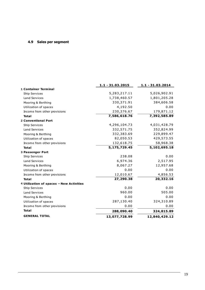# **4.9 Sales per segment**

|                                          | 1.1 - 31.03.2015 | 1.1 - 31.03.2014 |
|------------------------------------------|------------------|------------------|
| <b>1 Container Terminal</b>              |                  |                  |
| <b>Ship Services</b>                     | 5,283,217.11     | 5,026,902.91     |
| <b>Land Services</b>                     | 1,738,460.57     | 1,801,205.28     |
| Mooring & Berthing                       | 330,371.91       | 384,606.58       |
| Utilization of spaces                    | 4,192.50         | 0.00             |
| Income from other provisions             | 230,376.67       | 179,871.12       |
| <b>Total</b>                             | 7,586,618.76     | 7,392,585.89     |
| <b>2 Conventional Port</b>               |                  |                  |
| <b>Ship Services</b>                     | 4,296,104.73     | 4,031,428.79     |
| <b>Land Services</b>                     | 332,571.75       | 352,824.99       |
| Mooring & Berthing                       | 332,383.69       | 229,899.47       |
| Utilization of spaces                    | 82,050.53        | 429,573.55       |
| Income from other provisions             | 132,618.75       | 58,968.38        |
| <b>Total</b>                             | 5,175,729.45     | 5,102,695.18     |
| <b>3 Passenger Port</b>                  |                  |                  |
| <b>Ship Services</b>                     | 238.08           | 0.00             |
| <b>Land Services</b>                     | 6,974.36         | 2,517.95         |
| Mooring & Berthing                       | 8,067.27         | 12,957.68        |
| Utilization of spaces                    | 0.00             | 0.00             |
| Income from other provisions             | 12,010.67        | 4,856.53         |
| <b>Total</b>                             | 27,290.38        | 20,332.16        |
| 4 Utilization of spaces - New Activities |                  |                  |
| <b>Ship Services</b>                     | 0.00             | 0.00             |
| <b>Land Services</b>                     | 960.00           | 505.00           |
| Mooring & Berthing                       | 0.00             | 0.00             |
| Utilization of spaces                    | 287,130.40       | 324,310.89       |
| Income from other provisions             | 0.00             | 0.00             |
| <b>Total</b>                             | 288,090.40       | 324,815.89       |
| <b>GENERAL TOTAL</b>                     | 13,077,728.99    | 12,840,429.12    |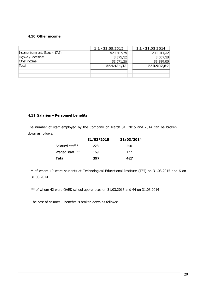# **4.10 Other income**

|                                 | $1.1 - 31.03.2015$ | 1.1 - 31.03.2014 |
|---------------------------------|--------------------|------------------|
| Income from rents (Note 4.17.2) | 528.487,75         | 208.011,32       |
| Highway Code fines              | 3.375,32           | 3,507,30         |
| Other income                    | 32.571,26          | 39,389,00        |
| <b>Total</b>                    | 564.434,33         | 250.907,62       |
|                                 |                    |                  |
|                                 |                    |                  |

# **4.11 Salaries – Personnel benefits**

The number of staff employed by the Company on March 31, 2015 and 2014 can be broken down as follows:

|                  | 31/03/2015 | 31/03/2014 |
|------------------|------------|------------|
| Salaried staff * | 228        | 250        |
| Waged staff $**$ | 169        | 177        |
| <b>Total</b>     | 397        | 427        |

**\*** of whom 10 were students at Technological Educational Institute (TEI) on 31.03.2015 and 6 on 31.03.2014

\*\* of whom 42 were OAED school apprentices on 31.03.2015 and 44 on 31.03.2014

The cost of salaries – benefits is broken down as follows: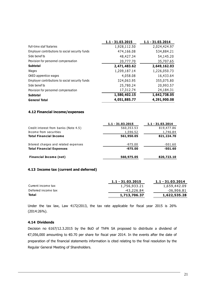|                                                 | 1.1 - 31.03.2015 | $1.1 - 31.03.2014$ |
|-------------------------------------------------|------------------|--------------------|
| Full-time staf fsalaries                        | 1,928,112.50     | 2,024,424.97       |
| Employer contributions to social security funds | 474,166.08       | 534,884.21         |
| Side benef ts                                   | 48,427.34        | 54,145.20          |
| Provision for personnel compensation            | 20,777.70        | 35,707.65          |
| <b>Subtotal</b>                                 | 2,471,483.62     | 2,649,162.03       |
| Wages                                           | 1,209,187.14     | 1,226,050.73       |
| OAED apprentice wages                           | 4,058.08         | 16,433.64          |
| Employer contributions to social security funds | 324,063.95       | 355,075.80         |
| Side benef ts                                   | 25,780.24        | 20,993.57          |
| Provision for personnel compensation            | 17,312.74        | 24,184.31          |
| Subtotal                                        | 1,580,402.15     | 1,642,738.05       |
| <b>General Total</b>                            | 4,051,885.77     | 4,291,900.08       |

### **4.12 Financial income/expenses**

|                                       | $1.1 - 31.03.2015$ | $1.1 - 31.03.2014$ |
|---------------------------------------|--------------------|--------------------|
| Credit interest from banks (Note 4.5) | 560,353.53         | 819,477.86         |
| Income from securities                | 1,596.52           | 1,746.84           |
| <b>Total Financial Income</b>         | 561,950.05         | 821,224.70         |
| Interest charges and related expenses | $-975.00$          | -501.60            |
| <b>Total Financial Expenses</b>       | $-975.00$          | $-501.60$          |
| <b>Financial Income (net)</b>         | 560,975.05         | 820,723.10         |

### **4.13 Income tax (current and deferred)**

| $1.1 - 31.03.2015$ | 1.1 - 31.03.2014 |
|--------------------|------------------|
| 1,756,933.21       | 1,659,442.09     |
| -43,226.84         | -36,906.81       |
| 1,713,706.37       | 1,622,535.28     |
|                    |                  |

Under the tax law, Law 4172/2013, the tax rate applicable for fiscal year 2015 is 26% (2014:26%).

### **4.14 Dividends**

Decision no 6167/12.3.2015 by the BoD of ThPA SA proposed to distribute a dividend of €7,056,000 amounting to €0.70 per share for fiscal year 2014. In the events after the date of preparation of the financial statements information is cited relating to the final resolution by the Regular General Meeting of Shareholders.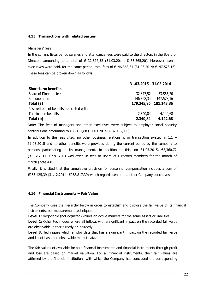### **4.15 Transactions with related parties**

#### Managers' fees

In the current fiscal period salaries and attendance fees were paid to the directors in the Board of Directors amounting to a total of  $\in$  32.877,52 (31.03.2014:  $\in$  33.565,20). Moreover, senior executives were paid, for the same period, total fees of €146.368,34 (31.03.2014: €147.578,16). These fees can be broken down as follows:

|                                           | 31.03.2015 31.03.2014 |                       |
|-------------------------------------------|-----------------------|-----------------------|
| <b>Short-term benefits</b>                |                       |                       |
| Board of Directors fees                   | 32.877,52             | 33.565,20             |
| Remuneration                              | 146.368,34            | 147.578,16            |
| Total (a)                                 |                       | 179.245,86 181.143,36 |
| Post retirement benefits associated with: |                       |                       |
| Termination benefits                      | 2.340,84              | 4.142,68              |
| Total (b)                                 | 2.340,84              | 4.142,68              |

Note: The fees of managers and other executives were subject to employer social security contributions amounting to €36.167,88 (31.03.2014: € 37.157,11 ).

In addition to the fees cited, no other business relationship or transaction existed in 1.1 – 31.03.2015 and no other benefits were provided during the current period by the company to persons participating in its management. In addition to this, on 31.03.2015, €5,360.72 (31.12.2014: €2.916,06) was owed in fees to Board of Directors members for the month of March (note 4.8).

Finally, it is cited that the cumulative provision for personnel compensation includes a sum of €263.425,39 (31.12.2014: €258.817,39) which regards senior and other Company executives.

### **4.16 Financial Instruments – Fair Value**

The Company uses the hierarchy below in order to establish and disclose the fair value of its financial instruments, per measurement technique:

**Level 1:** Negotiable (not adjusted) values on active markets for the same assets or liabilities;

**Level 2:** Other techniques where all inflows with a significant impact on the recorded fair value are observable, either directly or indirectly;

Level 3: Techniques which employ data that has a significant impact on the recorded fair value and is not based on observable market data.

The fair values of available for sale financial instruments and financial instruments through profit and loss are based on market valuation. For all financial instruments, their fair values are affirmed by the financial institutions with which the Company has concluded the corresponding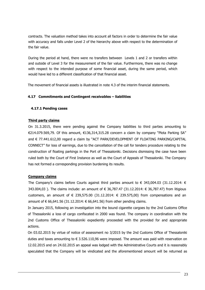contracts. The valuation method takes into account all factors in order to determine the fair value with accuracy and falls under Level 2 of the hierarchy above with respect to the determination of the fair value.

During the period at hand, there were no transfers between Levels 1 and 2 or transfers within and outside of Level 3 for the measurement of the fair value. Furthermore, there was no change with respect to the intended purpose of some financial asset, during the same period, which would have led to a different classification of that financial asset.

The movement of financial assets is illustrated in note 4.3 of the interim financial statements.

# **4.17 Commitments and Contingent receivables – liabilities**

# **4.17.1 Pending cases**

### **Third party claims**

On 31.3.2015, there were pending against the Company liabilities to third parties amounting to €214.079.569,79. Of this amount, €136,314,315.28 concern a claim by company "Plota Parking SA" and € 77.441.612,00 regard a claim by "ACT PARK/DEVELOPMENT OF FLOATING PARKING/CAPITAL CONNECT" for loss of earnings, due to the cancellation of the call for tenders procedure relating to the construction of floating parkings in the Port of Thessaloniki. Decisions dismissing the case have been ruled both by the Court of First Instance as well as the Court of Appeals of Thessaloniki. The Company has not formed a corresponding provision burdening its results.

# **Company claims**

The Company's claims before Courts against third parties amount to  $\epsilon$  343,004.03 (31.12.2014:  $\epsilon$ 343.004,03 ). The claims include: an amount of € 36,787.47 (31.12.2014: € 36,787.47) from litigious customers, an amount of  $\epsilon$  239,575.00 (31.12.2014:  $\epsilon$  239.575,00) from compensations and an amount of € 66,641.56 (31.12.2014: € 66,641.56) from other pending claims.

In January 2015, following an investigation into the bound cigarette cargoes by the 2nd Customs Office of Thessaloniki a loss of cargo confiscated in 2000 was found. The company in coordination with the 2nd Customs Office of Thessaloniki expediently proceeded with the provided for and appropriate actions.

On 03.02.2015 by virtue of notice of assessment no 3/2015 by the 2nd Customs Office of Thessaloniki duties and taxes amounting to  $\epsilon$  3.526.110,96 were imposed. The amount was paid with reservation on 12.02.2015 and on 24.02.2015 an appeal was lodged with the Administrative Courts and it is reasonably speculated that the Company will be vindicated and the aforementioned amount will be returned as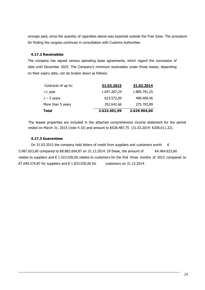wrongly paid, since the quantity of cigarettes above was exported outside the Free Zone. The procedure for finding the cargoes continues in consultation with Customs Authorities.

# **4.17.2 Receivables**

The company has signed various operating lease agreements, which regard the concession of sites until December 2025. The Company's minimum receivables under those leases, depending on their expiry date, can be broken down as follows:

| <b>Total</b>        | 2.623.501,99 | 2.629.904,60 |
|---------------------|--------------|--------------|
| More than 5 years   | 352.642.66   | 275.703,89   |
| $1 - 5$ years       | 623.572,09   | 498.409,46   |
| $<$ 1 year          | 1.647.287,24 | 1.885.791,25 |
| Contracts of up to: | 31.03.2015   | 31.03.2014   |

The leased properties are included in the attached comprehensive income statement for the period ended on March 31, 2015 (note 4.10) and amount to €528.487,75 (31.03.2014: €208.011,32).

# **4.17.3 Guarantees**

On 31.03.2015 the company held letters of credit from suppliers and customers worth  $\epsilon$ 5.987.653,60 compared to €8.882.604,87 on 31.12.2014. Of these, the amount of  $\epsilon$ 4.464.623,60 relates to suppliers and  $\epsilon$  1.523.030.00 relates to customers for the first three months of 2015 compared to €7.049.574,87 for suppliers and € 1.833.030,00 for customers on 31.12.2014.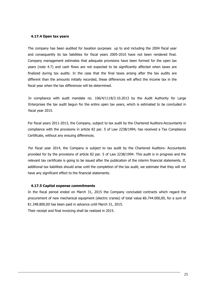### **4.17.4 Open tax years**

The company has been audited for taxation purposes up to and including the 2004 fiscal year and consequently its tax liabilities for fiscal years 2005-2010 have not been rendered final. Company management estimates that adequate provisions have been formed for the open tax years (note 4.7) and cash flows are not expected to be significantly affected when taxes are finalized during tax audits. In the case that the final taxes arising after the tax audits are different than the amounts initially recorded, these differences will affect the income tax in the fiscal year when the tax differences will be determined.

In compliance with audit mandate no. 106/4/1118/3.10.2013 by the Audit Authority for Large Enterprises the tax audit begun for the entire open tax years, which is estimated to be concluded in fiscal year 2015.

For fiscal years 2011-2013, the Company, subject to tax audit by the Chartered Auditors-Accountants in compliance with the provisions in article 82 par. 5 of Law 2238/1994, has received a Tax Compliance Certificate, without any ensuing differences.

For fiscal year 2014, the Company is subject to tax audit by the Chartered Auditors- Accountants provided for by the provisions of article 82 par. 5 of Law 2238/1994. This audit is in progress and the relevant tax certificate is going to be issued after the publication of the interim financial statements. If, additional tax liabilities should arise until the completion of the tax audit, we estimate that they will not have any significant effect to the financial statements.

### **4.17.5 Capital expense commitments**

In the fiscal period ended on March 31, 2015 the Company concluded contracts which regard the procurement of new mechanical equipment (electric cranes) of total value €6.744.000,00, for a sum of €1.348.800,00 has been paid in advance until March 31, 2015. Their receipt and final invoicing shall be realized in 2015.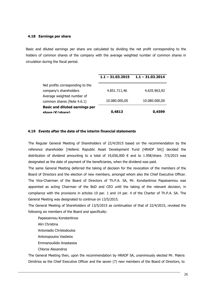### **4.18 Earnings per share**

Basic and diluted earnings per share are calculated by dividing the net profit corresponding to the holders of common shares of the company with the average weighted number of common shares in circulation during the fiscal period.

|                                       | $1.1 - 31.03.2015$ | $1.1 - 31.03.2014$ |
|---------------------------------------|--------------------|--------------------|
| Net profits corresponding to the      |                    |                    |
| company's shareholders                | 4.851.711,46       | 4.635.963,92       |
| Average weighted number of            |                    |                    |
| common shares (Note 4.6.1)            | 10.080.000,00      | 10.080.000,00      |
| <b>Basic and diluted earnings per</b> |                    |                    |
| share $(f)/\sinh$                     | 0,4813             | 0.4599             |

### **4.19 Events after the date of the interim financial statements**

The Regular General Meeting of Shareholders of 22/4/2015 based on the recommendation by the reference shareholder [Hellenic Republic Asset Development Fund (HRADF SA)] decided the distribution of dividend amounting to a total of 19,656,000 € and to 1.95€/share. 7/5/2015 was designated as the date of payment of the beneficiaries, when the dividend was paid.

The same General Meeting deferred the taking of decision for the revocation of the members of the Board of Directors and the election of new members, amongst whom also the Chief Executive Officer. The Vice-Chairman of the Board of Directors of Th.P.A. SA, Mr. Konstantinos Papaioannou was appointed as acting Chairman of the BoD and CEO until the taking of the relevant decision, in compliance with the provisions in articles 10 par. 1 and 14 par. 4 of the Charter of Th.P.A. SA. The General Meeting was designated to continue on 13/5/2015.

The General Meeting of Shareholders of 13/5/2015 as continuation of that of 22/4/2015, revoked the following six members of the Board and specifically:

Papaioannou Konstantinos Aliri Christina Antoniadis Christodoulos Antonopoulos Vasileios Emmanouilidis Anastasios Chloros Alexandros

The General Meeting then, upon the recommendation by HRADF SA, unanimously elected Mr. Makris Dimitrios as the Chief Executive Officer and the seven (7) new members of the Board of Directors, to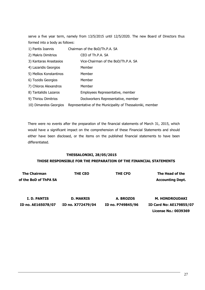serve a five year term, namely from 13/5/2015 until 12/5/2020. The new Board of Directors thus formed into a body as follows:

| 1) Pantis Ioannis       | Chairman of the BoD/Th.P.A. SA                             |
|-------------------------|------------------------------------------------------------|
| 2) Makris Dimitrios     | CEO of Th.P.A. SA                                          |
| 3) Kantaras Anastasios  | Vice-Chairman of the BoD/Th.P.A. SA                        |
| 4) Lazaridis Georgios   | Member                                                     |
| 5) Mellios Konstantinos | Member                                                     |
| 6) Tozidis Georgios     | Member                                                     |
| 7) Chloros Alexandros   | Member                                                     |
| 8) Tantalidis Lazaros   | Employees Representative, member                           |
| 9) Thiriou Dimitrios    | Dockworkers Representative, member                         |
| 10) Dimarelos Georgios  | Representative of the Municipality of Thessaloniki, member |

There were no events after the preparation of the financial statements of March 31, 2015, which would have a significant impact on the comprehension of these Financial Statements and should either have been disclosed, or the items on the published financial statements to have been differentiated.

### **THESSALONIKI, 28/05/2015**

### **THOSE RESPONSIBLE FOR THE PREPARATION OF THE FINANCIAL STATEMENTS**

| <b>The Chairman</b>   | <b>THE CEO</b>    | THE CFO           | The Head of the                |
|-----------------------|-------------------|-------------------|--------------------------------|
| of the BoD of ThPA SA |                   |                   | <b>Accounting Dept.</b>        |
|                       |                   |                   |                                |
| I. D. PANTIS          | <b>D. MAKRIS</b>  | A. BROZOS         | <b>M. HONDROUDAKI</b>          |
| ID no. AE165078/07    | ID no. X772479/04 | ID no. P749845/96 | <b>ID Card No: AE179855/07</b> |
|                       |                   |                   | License No.: 0039369           |